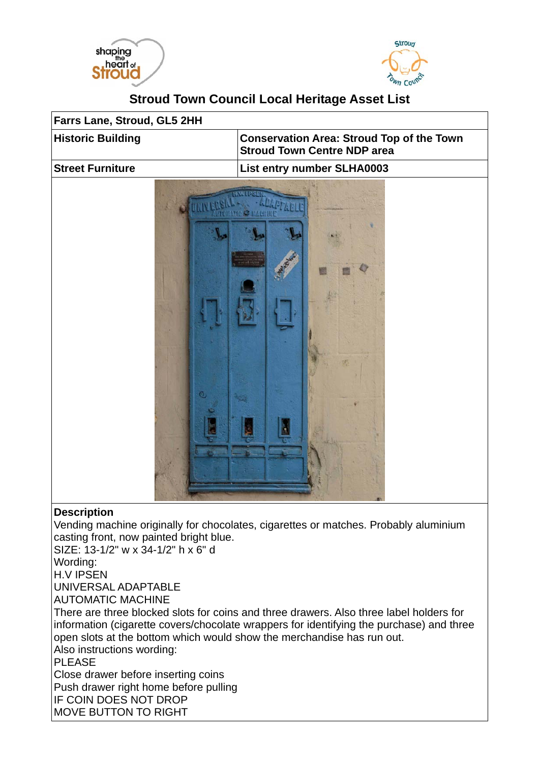



## **Stroud Town Council Local Heritage Asset List**



Vending machine originally for chocolates, cigarettes or matches. Probably aluminium casting front, now painted bright blue.

SIZE: 13-1/2" w x 34-1/2" h x 6" d

Wording:

H.V IPSEN

UNIVERSAL ADAPTABLE

AUTOMATIC MACHINE

There are three blocked slots for coins and three drawers. Also three label holders for information (cigarette covers/chocolate wrappers for identifying the purchase) and three open slots at the bottom which would show the merchandise has run out. Also instructions wording:

PLEASE

Close drawer before inserting coins Push drawer right home before pulling IF COIN DOES NOT DROP MOVE BUTTON TO RIGHT